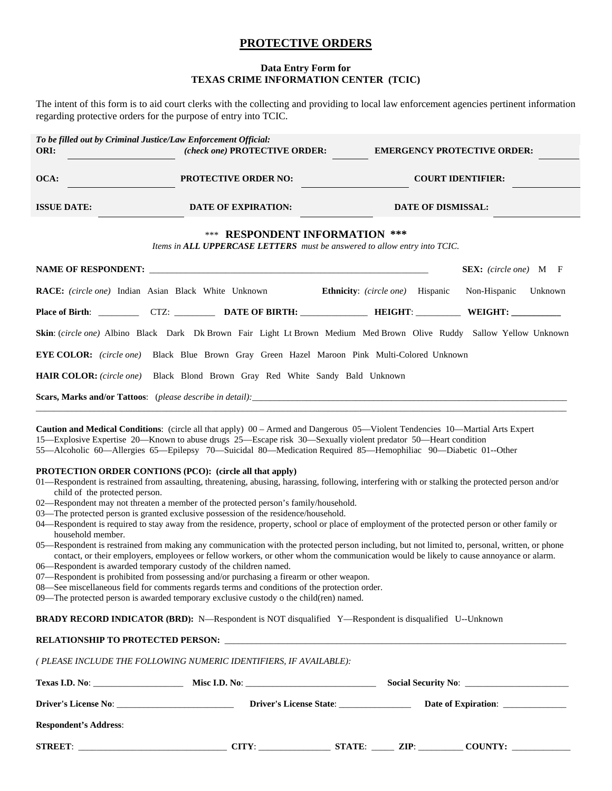## **PROTECTIVE ORDERS**

## **Data Entry Form for TEXAS CRIME INFORMATION CENTER (TCIC)**

The intent of this form is to aid court clerks with the collecting and providing to local law enforcement agencies pertinent information regarding protective orders for the purpose of entry into TCIC.

| To be filled out by Criminal Justice/Law Enforcement Official:                                                     |                                                                                                                       |  |                                                           |  |  |  |  |  |  |  |
|--------------------------------------------------------------------------------------------------------------------|-----------------------------------------------------------------------------------------------------------------------|--|-----------------------------------------------------------|--|--|--|--|--|--|--|
| ORI:<br>the control of the control of the                                                                          |                                                                                                                       |  | (check one) PROTECTIVE ORDER: EMERGENCY PROTECTIVE ORDER: |  |  |  |  |  |  |  |
| OCA:                                                                                                               | PROTECTIVE ORDER NO:                                                                                                  |  | <b>COURT IDENTIFIER:</b>                                  |  |  |  |  |  |  |  |
| <b>ISSUE DATE:</b>                                                                                                 | <b>EXPIRATION: DATE OF EXPIRATION:</b>                                                                                |  | <b>DATE OF DISMISSAL:</b>                                 |  |  |  |  |  |  |  |
| <b>*** RESPONDENT INFORMATION ***</b><br>Items in ALL UPPERCASE LETTERS must be answered to allow entry into TCIC. |                                                                                                                       |  |                                                           |  |  |  |  |  |  |  |
|                                                                                                                    |                                                                                                                       |  | <b>SEX:</b> (circle one) M F                              |  |  |  |  |  |  |  |
|                                                                                                                    | <b>RACE:</b> (circle one) Indian Asian Black White Unknown <b>Ethnicity</b> : (circle one) Hispanic Non-Hispanic      |  | Unknown                                                   |  |  |  |  |  |  |  |
|                                                                                                                    | Place of Birth: ____________ CTZ: ___________ DATE OF BIRTH: ________________ HEIGHT: ____________ WEIGHT: __________ |  |                                                           |  |  |  |  |  |  |  |
|                                                                                                                    | Skin: (circle one) Albino Black Dark Dk Brown Fair Light Lt Brown Medium Med Brown Olive Ruddy Sallow Yellow Unknown  |  |                                                           |  |  |  |  |  |  |  |

**EYE COLOR:** *(circle one)* Black Blue Brown Gray Green Hazel Maroon Pink Multi-Colored Unknown

**HAIR COLOR:** *(circle one)* Black Blond Brown Gray Red White Sandy Bald Unknown

Scars, Marks and/or Tattoos: (*please describe in detail*):

**Caution and Medical Conditions**: (circle all that apply) 00 – Armed and Dangerous 05—Violent Tendencies 10—Martial Arts Expert 15—Explosive Expertise 20—Known to abuse drugs 25—Escape risk 30—Sexually violent predator 50—Heart condition 55—Alcoholic 60—Allergies 65—Epilepsy 70—Suicidal 80—Medication Required 85—Hemophiliac 90—Diabetic 01--Other

## **PROTECTION ORDER CONTIONS (PCO): (circle all that apply)**

01—Respondent is restrained from assaulting, threatening, abusing, harassing, following, interfering with or stalking the protected person and/or child of the protected person.

\_\_\_\_\_\_\_\_\_\_\_\_\_\_\_\_\_\_\_\_\_\_\_\_\_\_\_\_\_\_\_\_\_\_\_\_\_\_\_\_\_\_\_\_\_\_\_\_\_\_\_\_\_\_\_\_\_\_\_\_\_\_\_\_\_\_\_\_\_\_\_\_\_\_\_\_\_\_\_\_\_\_\_\_\_\_\_\_\_\_\_\_\_\_\_\_\_\_\_\_\_\_\_\_\_\_\_\_\_\_\_\_\_\_\_\_\_\_

- 02—Respondent may not threaten a member of the protected person's family/household.
- 03—The protected person is granted exclusive possession of the residence/household.
- 04—Respondent is required to stay away from the residence, property, school or place of employment of the protected person or other family or household member.
- 05—Respondent is restrained from making any communication with the protected person including, but not limited to, personal, written, or phone contact, or their employers, employees or fellow workers, or other whom the communication would be likely to cause annoyance or alarm.
- 06—Respondent is awarded temporary custody of the children named.
- 07—Respondent is prohibited from possessing and/or purchasing a firearm or other weapon.
- 08—See miscellaneous field for comments regards terms and conditions of the protection order.
- 09—The protected person is awarded temporary exclusive custody o the child(ren) named.

**BRADY RECORD INDICATOR (BRD):** N—Respondent is NOT disqualified Y—Respondent is disqualified U--Unknown

## **RELATIONSHIP TO PROTECTED PERSON:**

*( PLEASE INCLUDE THE FOLLOWING NUMERIC IDENTIFIERS, IF AVAILABLE):* 

|                              | Misc I.D. No: |                                | Social Security No: |                     |  |
|------------------------------|---------------|--------------------------------|---------------------|---------------------|--|
| <b>Driver's License No:</b>  |               | <b>Driver's License State:</b> |                     | Date of Expiration: |  |
| <b>Respondent's Address:</b> |               |                                |                     |                     |  |
| STREET:                      | CITY:         |                                |                     | STATE: ZIP: COUNTY: |  |